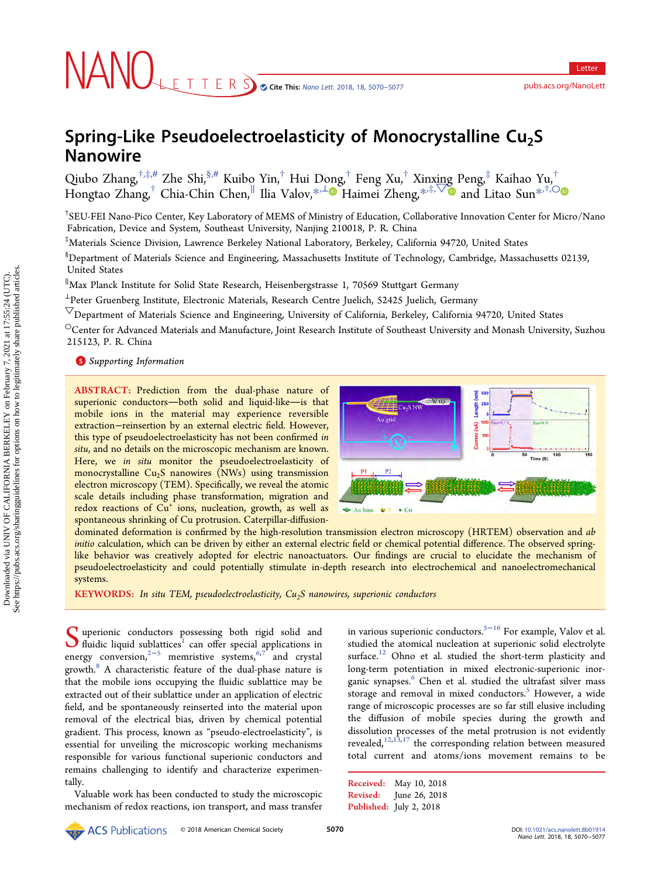# Spring-Like Pseudoelectroelasticity of Monocrystalline  $Cu<sub>2</sub>S$ Nanowire

Qiubo Zhan[g](#page-6-0), $^{\dagger,\ddagger,\#}$  [Zhe Shi,](#page-6-0) $^{\S,\#}$  [Kuibo Yin,](#page-6-0) $^\dagger$  Hui [Don](#page-6-0)g, $^\dagger$  Feng Xu, $^\dagger$  [Xinx](#page-6-0)ing Peng, $^\ddagger$  Kaihao [Yu,](#page-6-0) $^\dagger$ Hongtao Zhang, $^\dagger$  Chia-Chin Chen, $^\parallel$  Ilia Valov, $^{*,\perp}$  Haimei Zheng, $^{*,\ddot+,\bigtriangledown}$  and Litao Sun $^{*,\ddot+,\bigcirc}$ 

† SEU-FEI Nano-Pico Center, Key Laboratory of MEMS of Ministry of Education, Collaborative Innovation Center for Micro/Nano Fabrication, Device and System, Southeast University, Nanjing 210018, P. R. China

‡ Materials Science Division, Lawrence Berkeley National Laboratory, Berkeley, California 94720, United States

 $^{\$}$ Department of Materials Science and Engineering, Massachusetts Institute of Technology, Cambridge, Massachusetts 02139, United States

∥ Max Planck Institute for Solid State Research, Heisenbergstrasse 1, 70569 Stuttgart Germany

<sup>⊥</sup>Peter Gruenberg Institute, Electronic Materials, Research Centre Juelich, 52425 Juelich, Germany

 $\triangledown$ Department of Materials Science and Engineering, University of California, Berkeley, California 94720, United States

 $\rm ^{\circ}$ Center for Advanced Materials and Manufacture, Joint Research Institute of Southeast University and Monash University, Suzhou 215123, P. R. China

# **S** [Supporting Information](#page-6-0)

ABSTRACT: Prediction from the dual-phase nature of superionic conductors-both solid and liquid-like-is that mobile ions in the material may experience reversible extraction−reinsertion by an external electric field. However, this type of pseudoelectroelasticity has not been confirmed in situ, and no details on the microscopic mechanism are known. Here, we in situ monitor the pseudoelectroelasticity of monocrystalline  $Cu<sub>2</sub>S$  nanowires (NWs) using transmission electron microscopy (TEM). Specifically, we reveal the atomic scale details including phase transformation, migration and redox reactions of  $Cu<sup>+</sup>$  ions, nucleation, growth, as well as spontaneous shrinking of Cu protrusion. Caterpillar-diffusion-



dominated deformation is confirmed by the high-resolution transmission electron microscopy (HRTEM) observation and ab initio calculation, which can be driven by either an external electric field or chemical potential difference. The observed springlike behavior was creatively adopted for electric nanoactuators. Our findings are crucial to elucidate the mechanism of pseudoelectroelasticity and could potentially stimulate in-depth research into electrochemical and nanoelectromechanical systems.

KEYWORDS: In situ TEM, pseudoelectroelasticity,  $Cu<sub>2</sub>S$  nanowires, superionic conductors

S uperionic conductors possessing both rigid solid and<br>fluidic liquid sublattices<sup>1</sup> can off[er special applications in](#page-6-0)<br>summation  $2^{-5}$  monoiting protons  $6/7$  and spectal energy conversion,<sup>[2](#page-6-0)−[5](#page-6-0)</sup> memristive systems,<sup>[6](#page-6-0),[7](#page-6-0) and</sup> crystal growth.<sup>8</sup> [A characteristic feature of the dual-phase nature is](#page-6-0) that the mobile ions occupying the fluidic sublattice may be extracted out of their sublattice under an application of electric field, and be spontaneously reinserted into the material upon removal of the electrical bias, driven by chemical potential gradient. This process, known as "pseudo-electroelasticity", is essential for unveiling the microscopic working mechanisms responsible for various functional superionic conductors and remains challenging to identify and characterize experimentally.

Valuable work has been conducted to study the microscopic mechanism of redox reactions, ion transport, and mass transfer in various superionic conductors[.5](#page-6-0)<sup>−</sup>[16](#page-7-0) For example, Valov et al. studied the atomical nucleation at superionic solid electrolyte surface.<sup>12</sup> [Ohno et al. studied the short-term plasticity and](#page-6-0) long-term potentiation in mixed electronic-superionic inor-ganic synapses.<sup>6</sup> [Chen et al. studied the ultrafast silver mass](#page-6-0) storage and removal in mixed conductors.<sup>5</sup> [However, a wide](#page-6-0) range of microscopic processes are so far still elusive including the diffusion of mobile species during the growth and dissolution processes of the metal protrusion is not evidently revealed,<sup>[12](#page-6-0),[13,](#page-6-0)[17](#page-7-0)</sup> the corresponding relation between measured total current and atoms/ions movement remains to be

Received: May 10, 2018 Revised: June 26, 2018 Published: July 2, 2018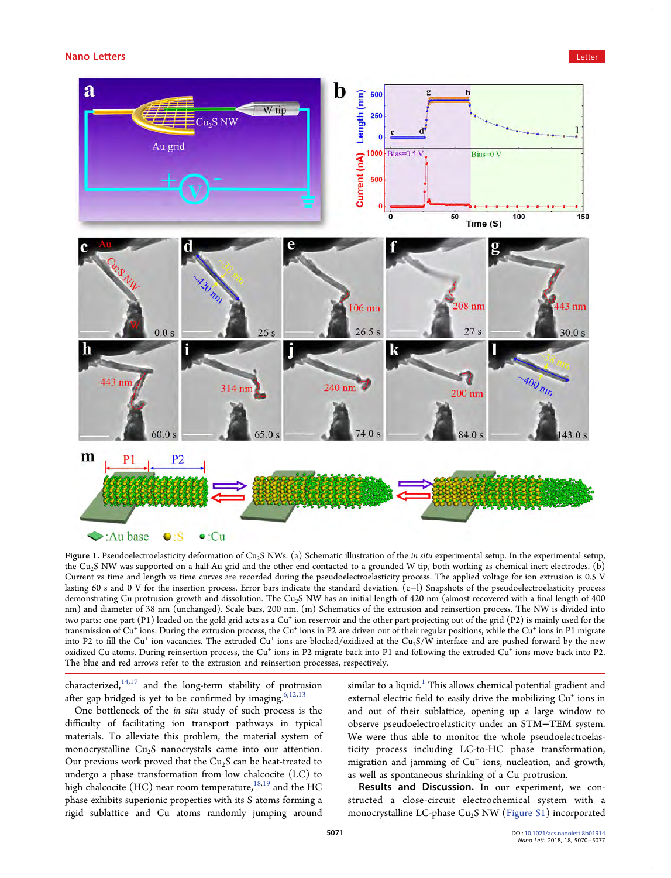<span id="page-1-0"></span>

Figure 1. Pseudoelectroelasticity deformation of Cu<sub>2</sub>S NWs. (a) Schematic illustration of the *in situ* experimental setup, In the experimental setup, the Cu2S NW was supported on a half-Au grid and the other end contacted to a grounded W tip, both working as chemical inert electrodes. (b) Current vs time and length vs time curves are recorded during the pseudoelectroelasticity process. The applied voltage for ion extrusion is 0.5 V lasting 60 s and 0 V for the insertion process. Error bars indicate the standard deviation. (c−l) Snapshots of the pseudoelectroelasticity process demonstrating Cu protrusion growth and dissolution. The Cu2S NW has an initial length of 420 nm (almost recovered with a final length of 400 nm) and diameter of 38 nm (unchanged). Scale bars, 200 nm. (m) Schematics of the extrusion and reinsertion process. The NW is divided into two parts: one part (P1) loaded on the gold grid acts as a Cu<sup>+</sup> ion reservoir and the other part projecting out of the grid (P2) is mainly used for the transmission of Cu<sup>+</sup> ions. During the extrusion process, the Cu<sup>+</sup> ions in P2 are driven out of their regular positions, while the Cu<sup>+</sup> ions in P1 migrate into P2 to fill the Cu<sup>+</sup> ion vacancies. The extruded Cu<sup>+</sup> ions are blocked/oxidized at the Cu<sub>2</sub>S/W interface and are pushed forward by the new oxidized Cu atoms. During reinsertion process, the Cu<sup>+</sup> ions in P2 migrate back into P1 and following the extruded Cu<sup>+</sup> ions move back into P2. The blue and red arrows refer to the extrusion and reinsertion processes, respectively.

characterized, $14,17$  $14,17$  and the long-term stability of protrusion after gap bridged is yet to be confirmed by imaging.<sup>6,12,13</sup>

One bottleneck of the in situ study of such process is the difficulty of facilitating ion transport pathways in typical materials. To alleviate this problem, the material system of monocrystalline  $Cu<sub>2</sub>S$  nanocrystals came into our attention. Our previous work proved that the  $Cu<sub>2</sub>S$  can be heat-treated to undergo a phase transformation from low chalcocite (LC) to high chalcocite (HC) near room temperature,  $^{18,19}$  $^{18,19}$  $^{18,19}$  $^{18,19}$  $^{18,19}$  and the HC phase exhibits superionic properties with its S atoms forming a rigid sublattice and Cu atoms randomly jumping around

similar to a liquid.<sup>1</sup> [This allows chemical potential gradient and](#page-6-0) external electric field to easily drive the mobilizing  $Cu<sup>+</sup>$  ions in and out of their sublattice, opening up a large window to observe pseudoelectroelasticity under an STM−TEM system. We were thus able to monitor the whole pseudoelectroelasticity process including LC-to-HC phase transformation, migration and jamming of Cu<sup>+</sup> ions, nucleation, and growth, as well as spontaneous shrinking of a Cu protrusion.

Results and Discussion. In our experiment, we constructed a close-circuit electrochemical system with a monocrystalline LC-phase  $Cu<sub>2</sub>S$  NW [\(Figure S1\)](http://pubs.acs.org/doi/suppl/10.1021/acs.nanolett.8b01914/suppl_file/nl8b01914_si_001.pdf) incorporated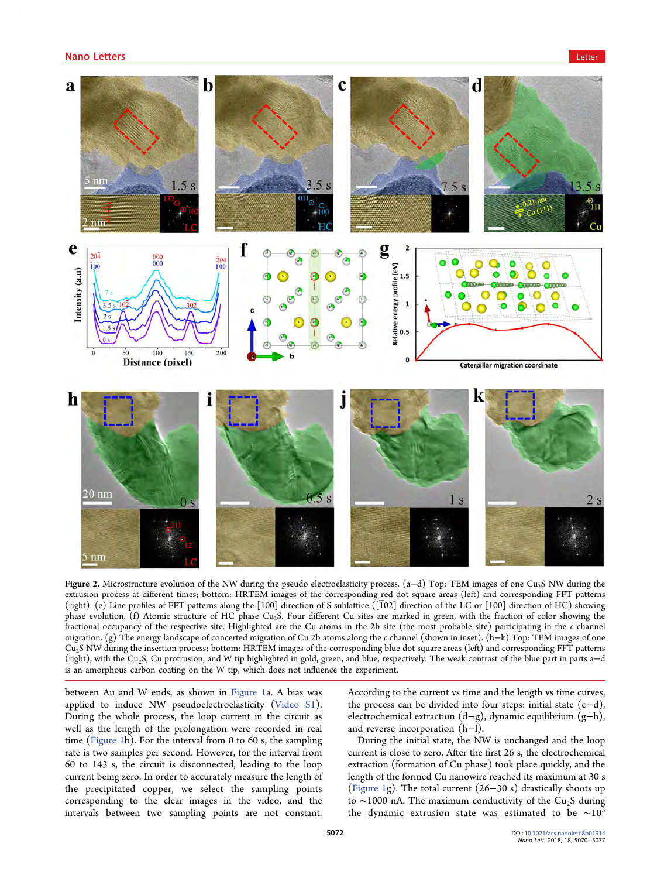<span id="page-2-0"></span>

Figure 2. Microstructure evolution of the NW during the pseudo electroelasticity process. (a−d) Top: TEM images of one Cu2S NW during the extrusion process at different times; bottom: HRTEM images of the corresponding red dot square areas (left) and corresponding FFT patterns (right). (e) Line profiles of FFT patterns along the  $[100]$  direction of S sublattice ( $[102]$  direction of the LC or  $[100]$  direction of HC) showing phase evolution. (f) Atomic structure of HC phase Cu2S. Four different Cu sites are marked in green, with the fraction of color showing the fractional occupancy of the respective site. Highlighted are the Cu atoms in the 2b site (the most probable site) participating in the c channel migration. (g) The energy landscape of concerted migration of Cu 2b atoms along the c channel (shown in inset). (h−k) Top: TEM images of one  $Cu<sub>2</sub>S$  NW during the insertion process; bottom: HRTEM images of the corresponding blue dot square areas (left) and corresponding FFT patterns (right), with the Cu2S, Cu protrusion, and W tip highlighted in gold, green, and blue, respectively. The weak contrast of the blue part in parts a−d is an amorphous carbon coating on the W tip, which does not influence the experiment.

between Au and W ends, as shown in [Figure 1](#page-1-0)a. A bias was applied to induce NW pseudoelectroelasticity [\(Video S1](http://pubs.acs.org/doi/suppl/10.1021/acs.nanolett.8b01914/suppl_file/nl8b01914_si_002.avi)). During the whole process, the loop current in the circuit as well as the length of the prolongation were recorded in real time [\(Figure 1](#page-1-0)b). For the interval from 0 to 60 s, the sampling rate is two samples per second. However, for the interval from 60 to 143 s, the circuit is disconnected, leading to the loop current being zero. In order to accurately measure the length of the precipitated copper, we select the sampling points corresponding to the clear images in the video, and the intervals between two sampling points are not constant.

According to the current vs time and the length vs time curves, the process can be divided into four steps: initial state (c−d), electrochemical extraction (d−g), dynamic equilibrium (g−h), and reverse incorporation (h−l).

During the initial state, the NW is unchanged and the loop current is close to zero. After the first 26 s, the electrochemical extraction (formation of Cu phase) took place quickly, and the length of the formed Cu nanowire reached its maximum at 30 s ([Figure 1g](#page-1-0)). The total current (26−30 s) drastically shoots up to ∼1000 nA. The maximum conductivity of the Cu<sub>2</sub>S during the dynamic extrusion state was estimated to be  $~\sim 10^{3}$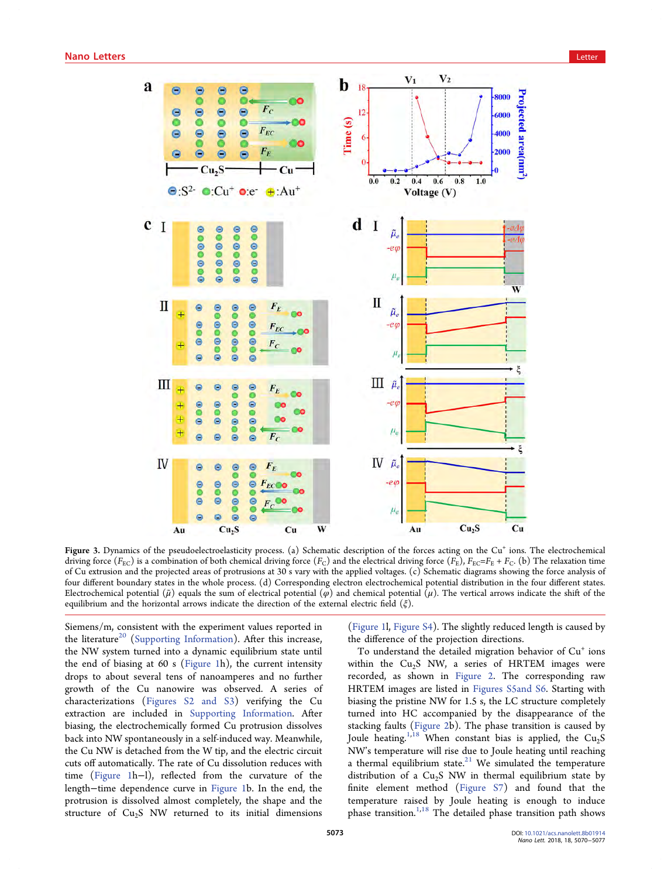<span id="page-3-0"></span>

Figure 3. Dynamics of the pseudoelectroelasticity process. (a) Schematic description of the forces acting on the Cu<sup>+</sup> ions. The electrochemical driving force ( $F_{EC}$ ) is a combination of both chemical driving force ( $F_C$ ) and the electrical driving force ( $F_E$ ),  $F_{EC} = F_E + F_C$ . (b) The relaxation time of Cu extrusion and the projected areas of protrusions at 30 s vary with the applied voltages. (c) Schematic diagrams showing the force analysis of four different boundary states in the whole process. (d) Corresponding electron electrochemical potential distribution in the four different states. Electrochemical potential ( $\tilde{\mu}$ ) equals the sum of electrical potential ( $\varphi$ ) and chemical potential ( $\mu$ ). The vertical arrows indicate the shift of the equilibrium and the horizontal arrows indicate the direction of the external electric field  $(\xi)$ .

Siemens/m, consistent with the experiment values reported in the literature<sup>20</sup> [\(](#page-7-0)[Supporting Information\)](http://pubs.acs.org/doi/suppl/10.1021/acs.nanolett.8b01914/suppl_file/nl8b01914_si_001.pdf). After this increase, the NW system turned into a dynamic equilibrium state until the end of biasing at 60 s [\(Figure 1](#page-1-0)h), the current intensity drops to about several tens of nanoamperes and no further growth of the Cu nanowire was observed. A series of characterizations [\(Figures S2 and S3\)](http://pubs.acs.org/doi/suppl/10.1021/acs.nanolett.8b01914/suppl_file/nl8b01914_si_001.pdf) verifying the Cu extraction are included in [Supporting Information](http://pubs.acs.org/doi/suppl/10.1021/acs.nanolett.8b01914/suppl_file/nl8b01914_si_001.pdf). After biasing, the electrochemically formed Cu protrusion dissolves back into NW spontaneously in a self-induced way. Meanwhile, the Cu NW is detached from the W tip, and the electric circuit cuts off automatically. The rate of Cu dissolution reduces with time ([Figure 1h](#page-1-0)−l), reflected from the curvature of the length−time dependence curve in [Figure 1b](#page-1-0). In the end, the protrusion is dissolved almost completely, the shape and the structure of  $Cu<sub>2</sub>S$  NW returned to its initial dimensions

([Figure 1](#page-1-0)l, [Figure S4](http://pubs.acs.org/doi/suppl/10.1021/acs.nanolett.8b01914/suppl_file/nl8b01914_si_001.pdf)). The slightly reduced length is caused by the difference of the projection directions.

To understand the detailed migration behavior of  $Cu<sup>+</sup>$  ions within the  $Cu<sub>2</sub>S$  NW, a series of HRTEM images were recorded, as shown in [Figure 2.](#page-2-0) The corresponding raw HRTEM images are listed in [Figures S5and S6](http://pubs.acs.org/doi/suppl/10.1021/acs.nanolett.8b01914/suppl_file/nl8b01914_si_001.pdf). Starting with biasing the pristine NW for 1.5 s, the LC structure completely turned into HC accompanied by the disappearance of the stacking faults [\(Figure 2b](#page-2-0)). The phase transition is caused by Joule heating.<sup>1,[18](#page-7-0)</sup> When constant bias is applied, the  $Cu<sub>2</sub>S$ NW's temperature will rise due to Joule heating until reaching a thermal equilibrium state. $21$  [We simulated the temperature](#page-7-0) distribution of a  $Cu<sub>2</sub>S$  NW in thermal equilibrium state by finite element method ([Figure S7\)](http://pubs.acs.org/doi/suppl/10.1021/acs.nanolett.8b01914/suppl_file/nl8b01914_si_001.pdf) and found that the temperature raised by Joule heating is enough to induce phase transition.<sup>[1](#page-6-0),[18](#page-7-0)</sup> The detailed phase transition path shows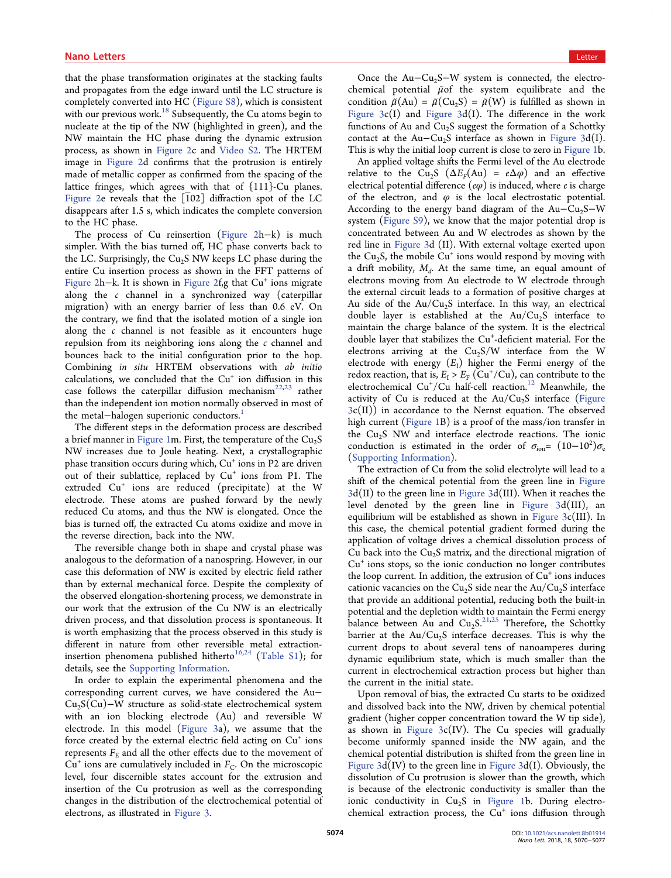that the phase transformation originates at the stacking faults and propagates from the edge inward until the LC structure is completely converted into HC [\(Figure S8\)](http://pubs.acs.org/doi/suppl/10.1021/acs.nanolett.8b01914/suppl_file/nl8b01914_si_001.pdf), which is consistent with our previous work.<sup>18</sup> [Subsequently, the Cu atoms begin to](#page-7-0) nucleate at the tip of the NW (highlighted in green), and the NW maintain the HC phase during the dynamic extrusion process, as shown in [Figure 2c](#page-2-0) and [Video S2.](http://pubs.acs.org/doi/suppl/10.1021/acs.nanolett.8b01914/suppl_file/nl8b01914_si_003.avi) The HRTEM image in [Figure 2](#page-2-0)d confirms that the protrusion is entirely made of metallic copper as confirmed from the spacing of the lattice fringes, which agrees with that of {111}-Cu planes. [Figure 2](#page-2-0)e reveals that the  $\lceil 102 \rceil$  diffraction spot of the LC disappears after 1.5 s, which indicates the complete conversion to the HC phase.

The process of Cu reinsertion [\(Figure 2](#page-2-0)h−k) is much simpler. With the bias turned off, HC phase converts back to the LC. Surprisingly, the  $Cu<sub>2</sub>S$  NW keeps LC phase during the entire Cu insertion process as shown in the FFT patterns of [Figure 2h](#page-2-0)−k. It is shown in [Figure 2f](#page-2-0),g that Cu<sup>+</sup> ions migrate along the c channel in a synchronized way (caterpillar migration) with an energy barrier of less than 0.6 eV. On the contrary, we find that the isolated motion of a single ion along the  $c$  channel is not feasible as it encounters huge repulsion from its neighboring ions along the  $c$  channel and bounces back to the initial configuration prior to the hop. Combining in situ HRTEM observations with ab initio calculations, we concluded that the  $Cu<sup>+</sup>$  ion diffusion in this case follows the caterpillar diffusion mechanism $^{22,23}$  $^{22,23}$  $^{22,23}$  rather than the independent ion motion normally observed in most of the metal–halogen superionic conductors.<sup>1</sup>

The different steps in the deformation process are described a brief manner in [Figure 1](#page-1-0)m. First, the temperature of the  $Cu<sub>2</sub>S$ NW increases due to Joule heating. Next, a crystallographic phase transition occurs during which,  $Cu<sup>+</sup>$  ions in P2 are driven out of their sublattice, replaced by  $Cu<sup>+</sup>$  ions from P1. The extruded Cu<sup>+</sup> ions are reduced (precipitate) at the W electrode. These atoms are pushed forward by the newly reduced Cu atoms, and thus the NW is elongated. Once the bias is turned off, the extracted Cu atoms oxidize and move in the reverse direction, back into the NW.

The reversible change both in shape and crystal phase was analogous to the deformation of a nanospring. However, in our case this deformation of NW is excited by electric field rather than by external mechanical force. Despite the complexity of the observed elongation-shortening process, we demonstrate in our work that the extrusion of the Cu NW is an electrically driven process, and that dissolution process is spontaneous. It is worth emphasizing that the process observed in this study is different in nature from other reversible metal extraction-insertion phenomena published hitherto<sup>[16](#page-7-0),[24](#page-7-0)</sup> [\(Table S1\)](http://pubs.acs.org/doi/suppl/10.1021/acs.nanolett.8b01914/suppl_file/nl8b01914_si_001.pdf); for details, see the [Supporting Information](http://pubs.acs.org/doi/suppl/10.1021/acs.nanolett.8b01914/suppl_file/nl8b01914_si_001.pdf).

In order to explain the experimental phenomena and the corresponding current curves, we have considered the Au−  $Cu<sub>2</sub>S(Cu)$ −W structure as solid-state electrochemical system with an ion blocking electrode (Au) and reversible W electrode. In this model [\(Figure 3a](#page-3-0)), we assume that the force created by the external electric field acting on  $Cu<sup>+</sup>$  ions represents  $F<sub>E</sub>$  and all the other effects due to the movement of  $Cu<sup>+</sup>$  ions are cumulatively included in  $F_C$ . On the microscopic level, four discernible states account for the extrusion and insertion of the Cu protrusion as well as the corresponding changes in the distribution of the electrochemical potential of electrons, as illustrated in [Figure 3](#page-3-0).

Once the Au–Cu<sub>2</sub>S–W system is connected, the electrochemical potential  $\tilde{\mu}$ of the system equilibrate and the condition  $\tilde{\mu}(Au) = \tilde{\mu}(Cu_2S) = \tilde{\mu}(W)$  is fulfilled as shown in Figure  $3c(I)$  and Figure  $3d(I)$ . The difference in the work functions of Au and Cu<sub>2</sub>S suggest the formation of a Schottky contact at the Au−Cu2S interface as shown in [Figure 3](#page-3-0)d(I). This is why the initial loop current is close to zero in [Figure 1b](#page-1-0).

An applied voltage shifts the Fermi level of the Au electrode relative to the Cu<sub>2</sub>S ( $\Delta E_F(\text{Au}) = e\Delta\varphi$ ) and an effective electrical potential difference  $(e\varphi)$  is induced, where *e* is charge of the electron, and  $\varphi$  is the local electrostatic potential. According to the energy band diagram of the Au– $Cu<sub>2</sub>S-W$ system ([Figure S9\)](http://pubs.acs.org/doi/suppl/10.1021/acs.nanolett.8b01914/suppl_file/nl8b01914_si_001.pdf), we know that the major potential drop is concentrated between Au and W electrodes as shown by the red line in [Figure 3](#page-3-0)d (II). With external voltage exerted upon the Cu<sub>2</sub>S, the mobile Cu<sup>+</sup> ions would respond by moving with a drift mobility,  $M_d$ . At the same time, an equal amount of electrons moving from Au electrode to W electrode through the external circuit leads to a formation of positive charges at Au side of the  $Au/Cu<sub>2</sub>S$  interface. In this way, an electrical double layer is established at the  $Au/Cu_2S$  interface to maintain the charge balance of the system. It is the electrical double layer that stabilizes the Cu<sup>+</sup>-deficient material. For the electrons arriving at the  $Cu<sub>2</sub>S/W$  interface from the W electrode with energy  $(E<sub>I</sub>)$  higher the Fermi energy of the redox reaction, that is,  $E_{\rm I} > E_{\rm F}$  (Cu<sup>+</sup>/Cu), can contribute to the electrochemical  $Cu^{+}/Cu$  half-cell reaction.<sup>12</sup> [Meanwhile, the](#page-6-0) activity of Cu is reduced at the  $Au/Cu_2S$  interface [\(Figure](#page-3-0)  $3c(II)$  $3c(II)$ ) in accordance to the Nernst equation. The observed high current [\(Figure 1](#page-1-0)B) is a proof of the mass/ion transfer in the Cu<sub>2</sub>S NW and interface electrode reactions. The ionic conduction is estimated in the order of  $\sigma_{\text{ion}} = (10-10^2)\sigma_{\text{e}}$ ([Supporting Information](http://pubs.acs.org/doi/suppl/10.1021/acs.nanolett.8b01914/suppl_file/nl8b01914_si_001.pdf)).

The extraction of Cu from the solid electrolyte will lead to a shift of the chemical potential from the green line in [Figure](#page-3-0)  $3d(II)$  $3d(II)$  to the green line in Figure  $3d(III)$ . When it reaches the level denoted by the green line in Figure  $3d(III)$ , an equilibrium will be established as shown in Figure  $3c(III)$ . In this case, the chemical potential gradient formed during the application of voltage drives a chemical dissolution process of Cu back into the  $Cu<sub>2</sub>S$  matrix, and the directional migration of  $Cu<sup>+</sup>$  ions stops, so the ionic conduction no longer contributes the loop current. In addition, the extrusion of  $Cu<sup>+</sup>$  ions induces cationic vacancies on the  $Cu<sub>2</sub>S$  side near the Au/Cu<sub>2</sub>S interface that provide an additional potential, reducing both the built-in potential and the depletion width to maintain the Fermi energy balance between Au and  $Cu_2S$ <sup>[21,25](#page-7-0)</sup> Therefore, the Schottky barrier at the  $Au/Cu_2S$  interface decreases. This is why the current drops to about several tens of nanoamperes during dynamic equilibrium state, which is much smaller than the current in electrochemical extraction process but higher than the current in the initial state.

Upon removal of bias, the extracted Cu starts to be oxidized and dissolved back into the NW, driven by chemical potential gradient (higher copper concentration toward the W tip side), as shown in Figure  $3c(IV)$ . The Cu species will gradually become uniformly spanned inside the NW again, and the chemical potential distribution is shifted from the green line in [Figure 3](#page-3-0)d(IV) to the green line in [Figure 3](#page-3-0)d(I). Obviously, the dissolution of Cu protrusion is slower than the growth, which is because of the electronic conductivity is smaller than the ionic conductivity in  $Cu<sub>2</sub>S$  in [Figure 1b](#page-1-0). During electrochemical extraction process, the  $Cu<sup>+</sup>$  ions diffusion through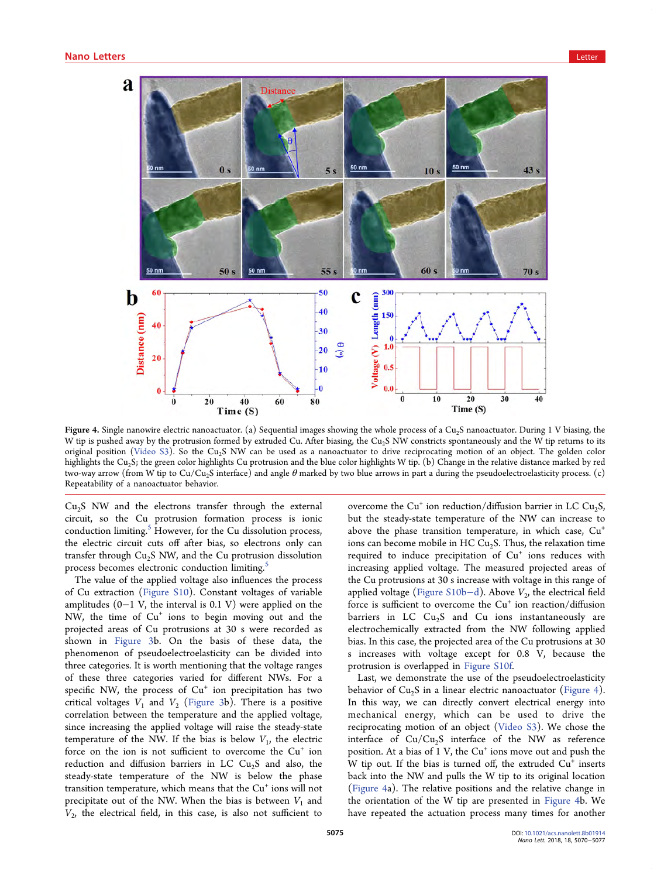<span id="page-5-0"></span>

Figure 4. Single nanowire electric nanoactuator. (a) Sequential images showing the whole process of a Cu<sub>2</sub>S nanoactuator. During 1 V biasing, the W tip is pushed away by the protrusion formed by extruded Cu. After biasing, the Cu<sub>2</sub>S NW constricts spontaneously and the W tip returns to its original position ([Video S3\)](http://pubs.acs.org/doi/suppl/10.1021/acs.nanolett.8b01914/suppl_file/nl8b01914_si_004.avi). So the Cu<sub>2</sub>S NW can be used as a nanoactuator to drive reciprocating motion of an object. The golden color highlights the Cu<sub>2</sub>S; the green color highlights Cu protrusion and the blue color highlights W tip. (b) Change in the relative distance marked by red two-way arrow (from W tip to Cu/Cu2S interface) and angle θ marked by two blue arrows in part a during the pseudoelectroelasticity process. (c) Repeatability of a nanoactuator behavior.

 $Cu<sub>2</sub>S$  NW and the electrons transfer through the external circuit, so the Cu protrusion formation process is ionic conduction limiting. $<sup>5</sup>$  [However, for the Cu dissolution process,](#page-6-0)</sup> the electric circuit cuts off after bias, so electrons only can transfer through  $Cu<sub>2</sub>S$  NW, and the Cu protrusion dissolution process becomes electronic conduction limiting.<sup>[5](#page-6-0)</sup>

The value of the applied voltage also influences the process of Cu extraction [\(Figure S10](http://pubs.acs.org/doi/suppl/10.1021/acs.nanolett.8b01914/suppl_file/nl8b01914_si_001.pdf)). Constant voltages of variable amplitudes (0−1 V, the interval is 0.1 V) were applied on the NW, the time of  $Cu<sup>+</sup>$  ions to begin moving out and the projected areas of Cu protrusions at 30 s were recorded as shown in [Figure 3](#page-3-0)b. On the basis of these data, the phenomenon of pseudoelectroelasticity can be divided into three categories. It is worth mentioning that the voltage ranges of these three categories varied for different NWs. For a specific NW, the process of  $Cu<sup>+</sup>$  ion precipitation has two critical voltages  $V_1$  and  $V_2$  [\(Figure 3](#page-3-0)b). There is a positive correlation between the temperature and the applied voltage, since increasing the applied voltage will raise the steady-state temperature of the NW. If the bias is below  $V_1$ , the electric force on the ion is not sufficient to overcome the  $Cu<sup>+</sup>$  ion reduction and diffusion barriers in LC  $Cu<sub>2</sub>S$  and also, the steady-state temperature of the NW is below the phase transition temperature, which means that the Cu<sup>+</sup> ions will not precipitate out of the NW. When the bias is between  $V_1$  and  $V_2$ , the electrical field, in this case, is also not sufficient to

overcome the Cu<sup>+</sup> ion reduction/diffusion barrier in LC Cu<sub>2</sub>S, but the steady-state temperature of the NW can increase to above the phase transition temperature, in which case,  $Cu<sup>+</sup>$ ions can become mobile in HC  $Cu<sub>2</sub>S$ . Thus, the relaxation time required to induce precipitation of  $Cu<sup>+</sup>$  ions reduces with increasing applied voltage. The measured projected areas of the Cu protrusions at 30 s increase with voltage in this range of applied voltage ([Figure S10b](http://pubs.acs.org/doi/suppl/10.1021/acs.nanolett.8b01914/suppl_file/nl8b01914_si_001.pdf)−d). Above  $V_2$ , the electrical field force is sufficient to overcome the  $Cu<sup>+</sup>$  ion reaction/diffusion barriers in LC  $Cu<sub>2</sub>S$  and Cu ions instantaneously are electrochemically extracted from the NW following applied bias. In this case, the projected area of the Cu protrusions at 30 s increases with voltage except for 0.8 V, because the protrusion is overlapped in [Figure S10f](http://pubs.acs.org/doi/suppl/10.1021/acs.nanolett.8b01914/suppl_file/nl8b01914_si_001.pdf).

Last, we demonstrate the use of the pseudoelectroelasticity behavior of  $Cu<sub>2</sub>S$  in a linear electric nanoactuator (Figure 4). In this way, we can directly convert electrical energy into mechanical energy, which can be used to drive the reciprocating motion of an object ([Video S3\)](http://pubs.acs.org/doi/suppl/10.1021/acs.nanolett.8b01914/suppl_file/nl8b01914_si_004.avi). We chose the interface of  $Cu/Cu<sub>2</sub>S$  interface of the NW as reference position. At a bias of  $1 \text{ V}$ , the  $\text{Cu}^+$  ions move out and push the W tip out. If the bias is turned off, the extruded  $Cu<sup>+</sup>$  inserts back into the NW and pulls the W tip to its original location (Figure 4a). The relative positions and the relative change in the orientation of the W tip are presented in Figure 4b. We have repeated the actuation process many times for another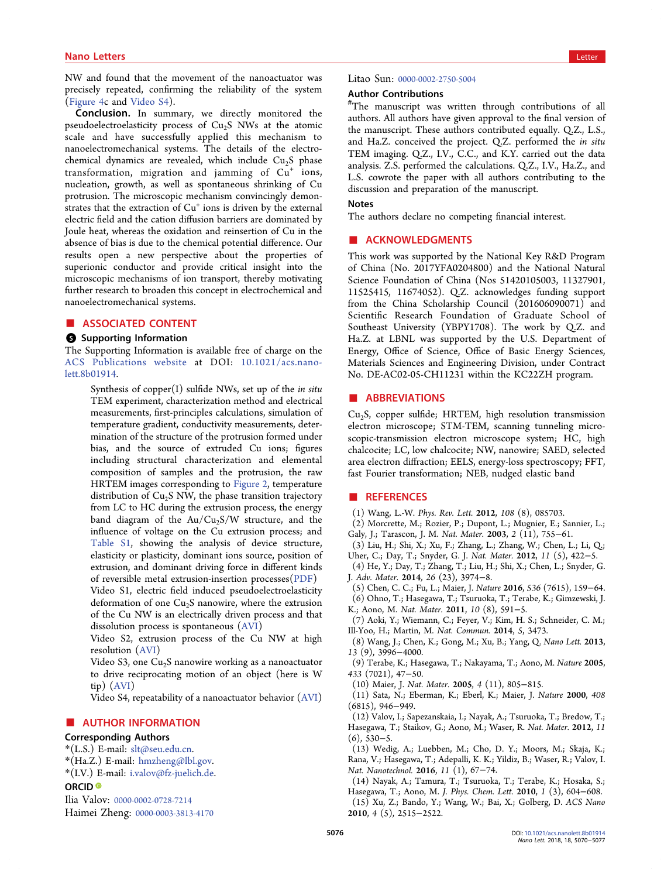# <span id="page-6-0"></span>nano Letters and the control of the control of the control of the control of the control of the control of the<br>Letters and the control of the control of the control of the control of the control of the control of the contr

NW and found that the movement of the nanoactuator was precisely repeated, confirming the reliability of the system ([Figure 4](#page-5-0)c and [Video S4](http://pubs.acs.org/doi/suppl/10.1021/acs.nanolett.8b01914/suppl_file/nl8b01914_si_005.avi)).

Conclusion. In summary, we directly monitored the pseudoelectroelasticity process of Cu<sub>2</sub>S NWs at the atomic scale and have successfully applied this mechanism to nanoelectromechanical systems. The details of the electrochemical dynamics are revealed, which include Cu<sub>2</sub>S phase transformation, migration and jamming of  $Cu<sup>+</sup>$  ions, nucleation, growth, as well as spontaneous shrinking of Cu protrusion. The microscopic mechanism convincingly demonstrates that the extraction of  $Cu<sup>+</sup>$  ions is driven by the external electric field and the cation diffusion barriers are dominated by Joule heat, whereas the oxidation and reinsertion of Cu in the absence of bias is due to the chemical potential difference. Our results open a new perspective about the properties of superionic conductor and provide critical insight into the microscopic mechanisms of ion transport, thereby motivating further research to broaden this concept in electrochemical and nanoelectromechanical systems.

#### ■ ASSOCIATED CONTENT

#### **6** Supporting Information

The Supporting Information is available free of charge on the [ACS Publications website](http://pubs.acs.org) at DOI: [10.1021/acs.nano](http://pubs.acs.org/doi/abs/10.1021/acs.nanolett.8b01914)[lett.8b01914](http://pubs.acs.org/doi/abs/10.1021/acs.nanolett.8b01914).

Synthesis of copper $(I)$  sulfide NWs, set up of the in situ TEM experiment, characterization method and electrical measurements, first-principles calculations, simulation of temperature gradient, conductivity measurements, determination of the structure of the protrusion formed under bias, and the source of extruded Cu ions; figures including structural characterization and elemental composition of samples and the protrusion, the raw HRTEM images corresponding to [Figure 2](#page-2-0), temperature distribution of  $Cu<sub>2</sub>S$  NW, the phase transition trajectory from LC to HC during the extrusion process, the energy band diagram of the  $Au/Cu_2S/W$  structure, and the influence of voltage on the Cu extrusion process; and Table S1, showing the analysis of device structure, elasticity or plasticity, dominant ions source, position of extrusion, and dominant driving force in different kinds of reversible metal extrusion-insertion processes([PDF\)](http://pubs.acs.org/doi/suppl/10.1021/acs.nanolett.8b01914/suppl_file/nl8b01914_si_001.pdf)

Video S1, electric field induced pseudoelectroelasticity deformation of one Cu<sub>2</sub>S nanowire, where the extrusion of the Cu NW is an electrically driven process and that dissolution process is spontaneous [\(AVI\)](http://pubs.acs.org/doi/suppl/10.1021/acs.nanolett.8b01914/suppl_file/nl8b01914_si_002.avi)

Video S2, extrusion process of the Cu NW at high resolution [\(AVI\)](http://pubs.acs.org/doi/suppl/10.1021/acs.nanolett.8b01914/suppl_file/nl8b01914_si_003.avi)

Video S3, one  $Cu<sub>2</sub>S$  nanowire working as a nanoactuator to drive reciprocating motion of an object (here is W tip) [\(AVI\)](http://pubs.acs.org/doi/suppl/10.1021/acs.nanolett.8b01914/suppl_file/nl8b01914_si_004.avi)

Video S4, repeatability of a nanoactuator behavior ([AVI](http://pubs.acs.org/doi/suppl/10.1021/acs.nanolett.8b01914/suppl_file/nl8b01914_si_005.avi))

# ■ AUTHOR INFORMATION

### Corresponding Authors

\*(L.S.) E-mail: [slt@seu.edu.cn.](mailto:slt@seu.edu.cn)

- \*(Ha.Z.) E-mail: [hmzheng@lbl.gov.](mailto:hmzheng@lbl.gov)
- \*(I.V.) E-mail: [i.valov@fz-juelich.de](mailto:i.valov@fz-juelich.de).

# ORCID<sup>®</sup>

Ilia Valov: [0000-0002-0728-7214](http://orcid.org/0000-0002-0728-7214)

Haimei Zheng: [0000-0003-3813-4170](http://orcid.org/0000-0003-3813-4170)

Litao Sun: [0000-0002-2750-5004](http://orcid.org/0000-0002-2750-5004)

#### Author Contributions

# The manuscript was written through contributions of all authors. All authors have given approval to the final version of the manuscript. These authors contributed equally. Q.Z., L.S., and Ha.Z. conceived the project. Q.Z. performed the in situ TEM imaging. Q.Z., I.V., C.C., and K.Y. carried out the data analysis. Z.S. performed the calculations. Q.Z., I.V., Ha.Z., and L.S. cowrote the paper with all authors contributing to the discussion and preparation of the manuscript.

## Notes

The authors declare no competing financial interest.

#### ■ ACKNOWLEDGMENTS

This work was supported by the National Key R&D Program of China (No. 2017YFA0204800) and the National Natural Science Foundation of China (Nos 51420105003, 11327901, 11525415, 11674052). Q.Z. acknowledges funding support from the China Scholarship Council (201606090071) and Scientific Research Foundation of Graduate School of Southeast University (YBPY1708). The work by Q.Z. and Ha.Z. at LBNL was supported by the U.S. Department of Energy, Office of Science, Office of Basic Energy Sciences, Materials Sciences and Engineering Division, under Contract No. DE-AC02-05-CH11231 within the KC22ZH program.

#### ■ ABBREVIATIONS

 $Cu<sub>2</sub>S$ , copper sulfide; HRTEM, high resolution transmission electron microscope; STM-TEM, scanning tunneling microscopic-transmission electron microscope system; HC, high chalcocite; LC, low chalcocite; NW, nanowire; SAED, selected area electron diffraction; EELS, energy-loss spectroscopy; FFT, fast Fourier transformation; NEB, nudged elastic band

#### ■ REFERENCES

- (1) Wang, L.-W. Phys. Rev. Lett. 2012, 108 (8), 085703.
- (2) Morcrette, M.; Rozier, P.; Dupont, L.; Mugnier, E.; Sannier, L.; Galy, J.; Tarascon, J. M. Nat. Mater. 2003, 2 (11), 755−61.
- (3) Liu, H.; Shi, X.; Xu, F.; Zhang, L.; Zhang, W.; Chen, L.; Li, Q.;
- Uher, C.; Day, T.; Snyder, G. J. Nat. Mater. 2012, 11 (5), 422−5. (4) He, Y.; Day, T.; Zhang, T.; Liu, H.; Shi, X.; Chen, L.; Snyder, G.
- J. Adv. Mater. 2014, 26 (23), 3974−8.
- (5) Chen, C. C.; Fu, L.; Maier, J. Nature 2016, 536 (7615), 159−64.
- (6) Ohno, T.; Hasegawa, T.; Tsuruoka, T.; Terabe, K.; Gimzewski, J. K.; Aono, M. Nat. Mater. 2011, 10 (8), 591−5.
- (7) Aoki, Y.; Wiemann, C.; Feyer, V.; Kim, H. S.; Schneider, C. M.; Ill-Yoo, H.; Martin, M. Nat. Commun. 2014, 5, 3473.
- (8) Wang, J.; Chen, K.; Gong, M.; Xu, B.; Yang, Q. Nano Lett. 2013, 13 (9), 3996−4000.
- (9) Terabe, K.; Hasegawa, T.; Nakayama, T.; Aono, M. Nature 2005, 433 (7021), 47−50.
- (10) Maier, J. Nat. Mater. 2005, 4 (11), 805−815.
- (11) Sata, N.; Eberman, K.; Eberl, K.; Maier, J. Nature 2000, 408 (6815), 946−949.
- (12) Valov, I.; Sapezanskaia, I.; Nayak, A.; Tsuruoka, T.; Bredow, T.; Hasegawa, T.; Staikov, G.; Aono, M.; Waser, R. Nat. Mater. 2012, 11 (6), 530−5.

(13) Wedig, A.; Luebben, M.; Cho, D. Y.; Moors, M.; Skaja, K.; Rana, V.; Hasegawa, T.; Adepalli, K. K.; Yildiz, B.; Waser, R.; Valov, I. Nat. Nanotechnol. 2016, 11 (1), 67−74.

(14) Nayak, A.; Tamura, T.; Tsuruoka, T.; Terabe, K.; Hosaka, S.; Hasegawa, T.; Aono, M. J. Phys. Chem. Lett. 2010, 1 (3), 604−608. (15) Xu, Z.; Bando, Y.; Wang, W.; Bai, X.; Golberg, D. ACS Nano 2010, 4 (5), 2515−2522.